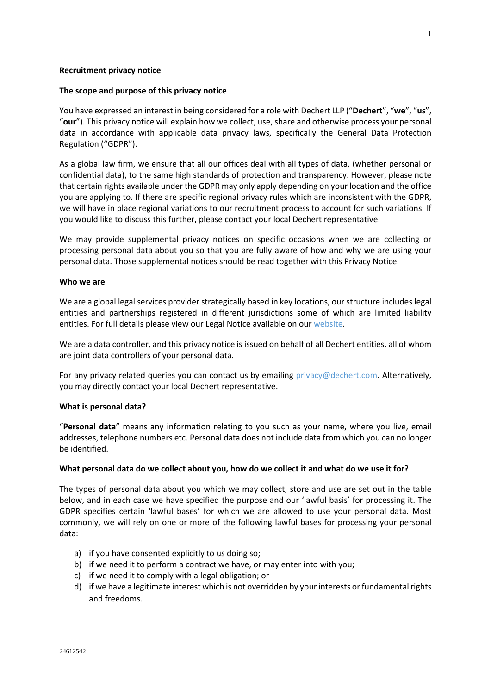### **Recruitment privacy notice**

### **The scope and purpose of this privacy notice**

You have expressed an interest in being considered for a role with Dechert LLP ("**Dechert**", "**we**", "**us**", "**our**"). This privacy notice will explain how we collect, use, share and otherwise process your personal data in accordance with applicable data privacy laws, specifically the General Data Protection Regulation ("GDPR").

As a global law firm, we ensure that all our offices deal with all types of data, (whether personal or confidential data), to the same high standards of protection and transparency. However, please note that certain rights available under the GDPR may only apply depending on your location and the office you are applying to. If there are specific regional privacy rules which are inconsistent with the GDPR, we will have in place regional variations to our recruitment process to account for such variations. If you would like to discuss this further, please contact your local Dechert representative.

We may provide supplemental privacy notices on specific occasions when we are collecting or processing personal data about you so that you are fully aware of how and why we are using your personal data. Those supplemental notices should be read together with this Privacy Notice.

#### **Who we are**

We are a global legal services provider strategically based in key locations, our structure includes legal entities and partnerships registered in different jurisdictions some of which are limited liability entities. For full details please view our Legal Notice available on our [website.](https://www.dechert.com/-disclaimer--privacy-policy---cookies.html)

We are a data controller, and this privacy notice is issued on behalf of all Dechert entities, all of whom are joint data controllers of your personal data.

For any privacy related queries you can contact us by emailing [privacy@dechert.com.](mailto:privacy@dechert.com) Alternatively, you may directly contact your local Dechert representative.

#### **What is personal data?**

"**Personal data**" means any information relating to you such as your name, where you live, email addresses, telephone numbers etc. Personal data does not include data from which you can no longer be identified.

# **What personal data do we collect about you, how do we collect it and what do we use it for?**

The types of personal data about you which we may collect, store and use are set out in the table below, and in each case we have specified the purpose and our 'lawful basis' for processing it. The GDPR specifies certain 'lawful bases' for which we are allowed to use your personal data. Most commonly, we will rely on one or more of the following lawful bases for processing your personal data:

- a) if you have consented explicitly to us doing so;
- b) if we need it to perform a contract we have, or may enter into with you;
- c) if we need it to comply with a legal obligation; or
- d) if we have a legitimate interest which is not overridden by your interests or fundamental rights and freedoms.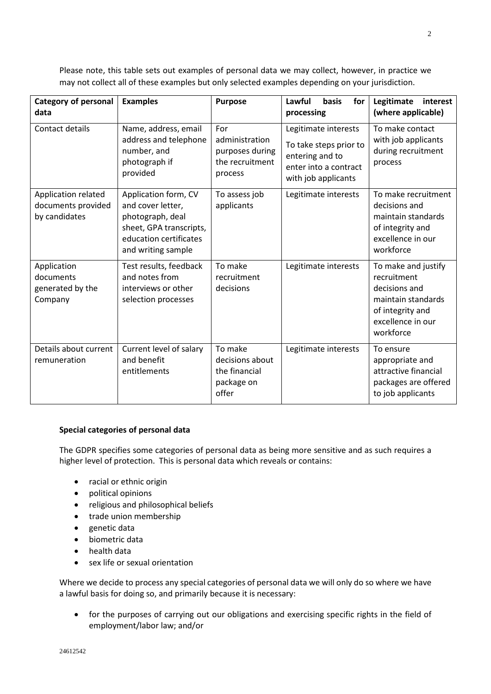**Category of personal data Examples Purpose Lawful basis for processing Legitimate interest (where applicable)** Contact details | Name, address, email address and telephone number, and photograph if provided For administration purposes during the recruitment process Legitimate interests To take steps prior to entering and to enter into a contract with job applicants To make contact with job applicants during recruitment process Application related documents provided by candidates Application form, CV and cover letter, photograph, deal sheet, GPA transcripts, education certificates and writing sample To assess job applicants Legitimate interests  $\Box$  To make recruitment decisions and maintain standards of integrity and excellence in our workforce Application documents generated by the Company Test results, feedback and notes from interviews or other selection processes To make recruitment decisions Legitimate interests  $\vert$  To make and justify recruitment decisions and maintain standards of integrity and excellence in our workforce Details about current remuneration Current level of salary and benefit entitlements To make decisions about the financial package on offer Legitimate interests  $\vert$  To ensure appropriate and attractive financial packages are offered to job applicants

Please note, this table sets out examples of personal data we may collect, however, in practice we may not collect all of these examples but only selected examples depending on your jurisdiction.

# **Special categories of personal data**

The GDPR specifies some categories of personal data as being more sensitive and as such requires a higher level of protection. This is personal data which reveals or contains:

- racial or ethnic origin
- political opinions
- religious and philosophical beliefs
- trade union membership
- genetic data
- biometric data
- health data
- sex life or sexual orientation

Where we decide to process any special categories of personal data we will only do so where we have a lawful basis for doing so, and primarily because it is necessary:

• for the purposes of carrying out our obligations and exercising specific rights in the field of employment/labor law; and/or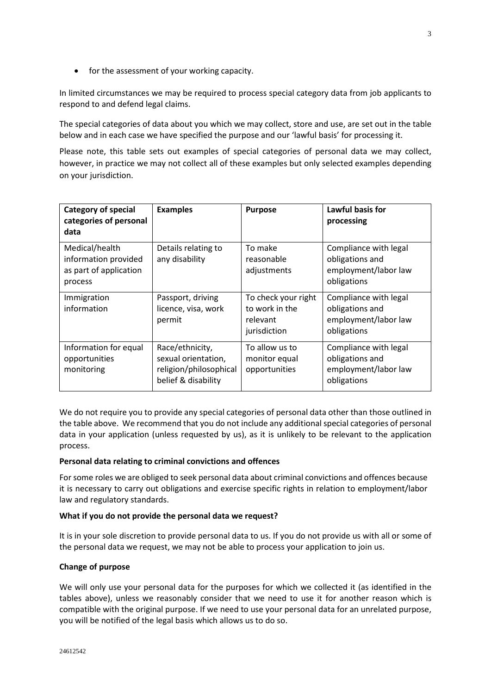• for the assessment of your working capacity.

In limited circumstances we may be required to process special category data from job applicants to respond to and defend legal claims.

The special categories of data about you which we may collect, store and use, are set out in the table below and in each case we have specified the purpose and our 'lawful basis' for processing it.

Please note, this table sets out examples of special categories of personal data we may collect, however, in practice we may not collect all of these examples but only selected examples depending on your jurisdiction.

| <b>Category of special</b><br>categories of personal<br>data                | <b>Examples</b>                                                                         | <b>Purpose</b>                                                    | Lawful basis for<br>processing                                                  |
|-----------------------------------------------------------------------------|-----------------------------------------------------------------------------------------|-------------------------------------------------------------------|---------------------------------------------------------------------------------|
| Medical/health<br>information provided<br>as part of application<br>process | Details relating to<br>any disability                                                   | To make<br>reasonable<br>adjustments                              | Compliance with legal<br>obligations and<br>employment/labor law<br>obligations |
| Immigration<br>information                                                  | Passport, driving<br>licence, visa, work<br>permit                                      | To check your right<br>to work in the<br>relevant<br>jurisdiction | Compliance with legal<br>obligations and<br>employment/labor law<br>obligations |
| Information for equal<br>opportunities<br>monitoring                        | Race/ethnicity,<br>sexual orientation,<br>religion/philosophical<br>belief & disability | To allow us to<br>monitor equal<br>opportunities                  | Compliance with legal<br>obligations and<br>employment/labor law<br>obligations |

We do not require you to provide any special categories of personal data other than those outlined in the table above. We recommend that you do not include any additional special categories of personal data in your application (unless requested by us), as it is unlikely to be relevant to the application process.

# **Personal data relating to criminal convictions and offences**

For some roles we are obliged to seek personal data about criminal convictions and offences because it is necessary to carry out obligations and exercise specific rights in relation to employment/labor law and regulatory standards.

# **What if you do not provide the personal data we request?**

It is in your sole discretion to provide personal data to us. If you do not provide us with all or some of the personal data we request, we may not be able to process your application to join us.

#### **Change of purpose**

We will only use your personal data for the purposes for which we collected it (as identified in the tables above), unless we reasonably consider that we need to use it for another reason which is compatible with the original purpose. If we need to use your personal data for an unrelated purpose, you will be notified of the legal basis which allows us to do so.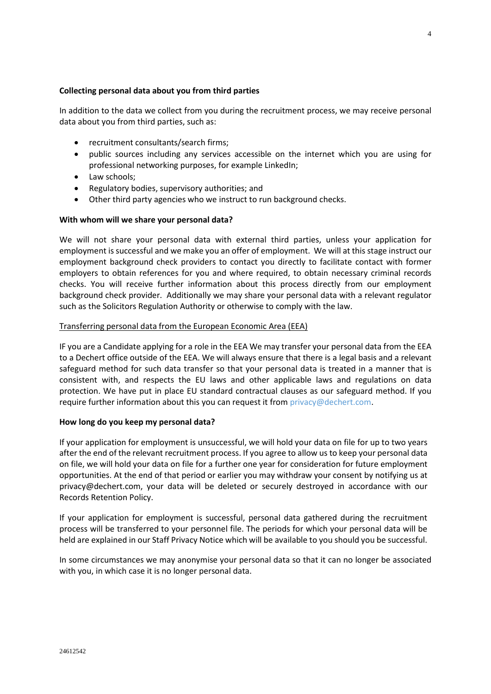## **Collecting personal data about you from third parties**

In addition to the data we collect from you during the recruitment process, we may receive personal data about you from third parties, such as:

- recruitment consultants/search firms;
- public sources including any services accessible on the internet which you are using for professional networking purposes, for example LinkedIn;
- Law schools:
- Regulatory bodies, supervisory authorities; and
- Other third party agencies who we instruct to run background checks.

## **With whom will we share your personal data?**

We will not share your personal data with external third parties, unless your application for employment is successful and we make you an offer of employment. We will at this stage instruct our employment background check providers to contact you directly to facilitate contact with former employers to obtain references for you and where required, to obtain necessary criminal records checks. You will receive further information about this process directly from our employment background check provider. Additionally we may share your personal data with a relevant regulator such as the Solicitors Regulation Authority or otherwise to comply with the law.

#### Transferring personal data from the European Economic Area (EEA)

IF you are a Candidate applying for a role in the EEA We may transfer your personal data from the EEA to a Dechert office outside of the EEA. We will always ensure that there is a legal basis and a relevant safeguard method for such data transfer so that your personal data is treated in a manner that is consistent with, and respects the EU laws and other applicable laws and regulations on data protection. We have put in place EU standard contractual clauses as our safeguard method. If you require further information about this you can request it from [privacy@dechert.com](mailto:privacy@dechert.com).

#### **How long do you keep my personal data?**

If your application for employment is unsuccessful, we will hold your data on file for up to two years after the end of the relevant recruitment process. If you agree to allow us to keep your personal data on file, we will hold your data on file for a further one year for consideration for future employment opportunities. At the end of that period or earlier you may withdraw your consent by notifying us at privacy@dechert.com, your data will be deleted or securely destroyed in accordance with our Records Retention Policy.

If your application for employment is successful, personal data gathered during the recruitment process will be transferred to your personnel file. The periods for which your personal data will be held are explained in our Staff Privacy Notice which will be available to you should you be successful.

In some circumstances we may anonymise your personal data so that it can no longer be associated with you, in which case it is no longer personal data.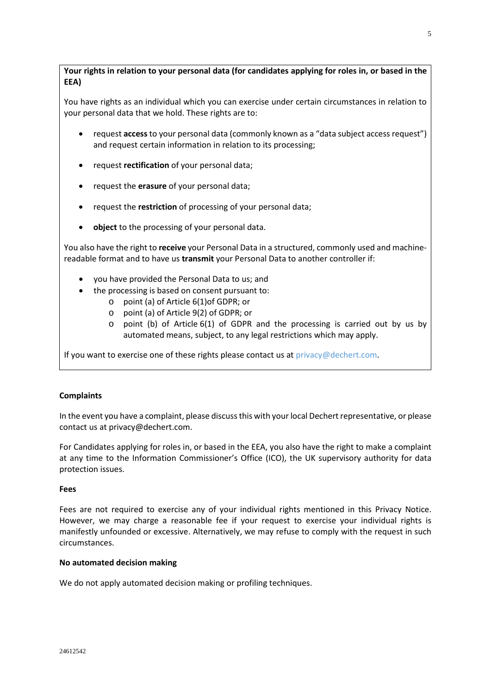**Your rights in relation to your personal data (for candidates applying for roles in, or based in the EEA)**

You have rights as an individual which you can exercise under certain circumstances in relation to your personal data that we hold. These rights are to:

- request **access**to your personal data (commonly known as a "data subject access request") and request certain information in relation to its processing;
- request **rectification** of your personal data;
- request the **erasure** of your personal data;
- request the **restriction** of processing of your personal data;
- **object** to the processing of your personal data.

You also have the right to **receive** your Personal Data in a structured, commonly used and machinereadable format and to have us **transmit** your Personal Data to another controller if:

- you have provided the Personal Data to us; and
- the processing is based on consent pursuant to:
	- o point (a) of Article 6(1)of GDPR; or
	- o point (a) of Article 9(2) of GDPR; or
	- $\circ$  point (b) of Article 6(1) of GDPR and the processing is carried out by us by automated means, subject, to any legal restrictions which may apply.

If you want to exercise one of these rights please contact us at [privacy@dechert.com](mailto:privacy@dechert.com).

# **Complaints**

In the event you have a complaint, please discuss this with your local Dechert representative, or please contact usat [privacy@dechert.com.](mailto:privacy@dechert.com)

For Candidates applying for roles in, or based in the EEA, you also have the right to make a complaint at any time to the Information Commissioner's Office (ICO), the UK supervisory authority for data protection issues.

#### **Fees**

Fees are not required to exercise any of your individual rights mentioned in this Privacy Notice. However, we may charge a reasonable fee if your request to exercise your individual rights is manifestly unfounded or excessive. Alternatively, we may refuse to comply with the request in such circumstances.

# **No automated decision making**

We do not apply automated decision making or profiling techniques.